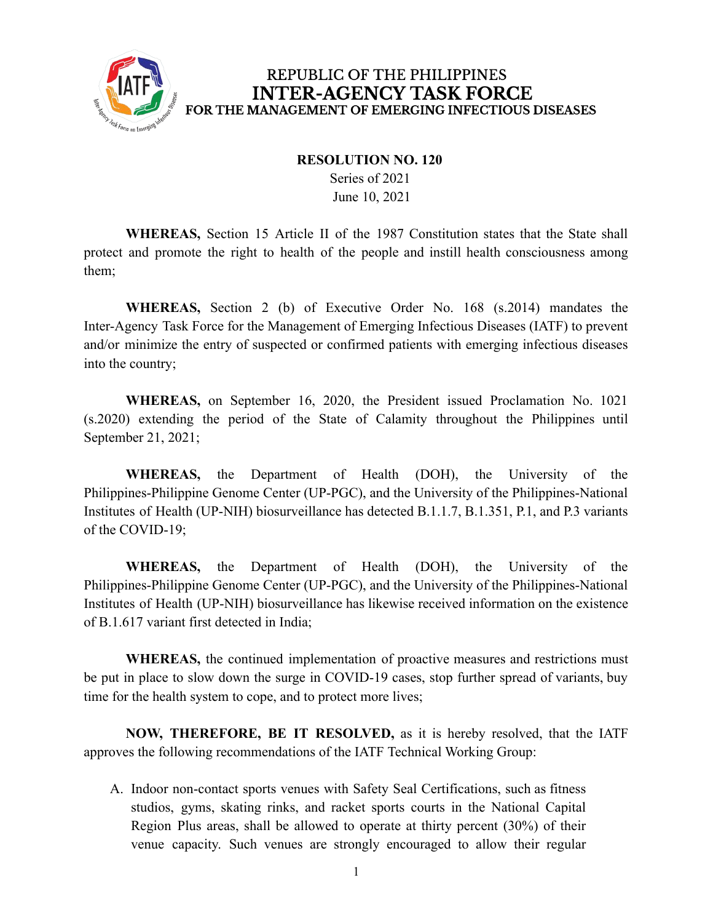

## **RESOLUTION NO. 120**

Series of 2021 June 10, 2021

**WHEREAS,** Section 15 Article II of the 1987 Constitution states that the State shall protect and promote the right to health of the people and instill health consciousness among them;

**WHEREAS,** Section 2 (b) of Executive Order No. 168 (s.2014) mandates the Inter-Agency Task Force for the Management of Emerging Infectious Diseases (IATF) to prevent and/or minimize the entry of suspected or confirmed patients with emerging infectious diseases into the country;

**WHEREAS,** on September 16, 2020, the President issued Proclamation No. 1021 (s.2020) extending the period of the State of Calamity throughout the Philippines until September 21, 2021;

**WHEREAS,** the Department of Health (DOH), the University of the Philippines-Philippine Genome Center (UP-PGC), and the University of the Philippines-National Institutes of Health (UP-NIH) biosurveillance has detected B.1.1.7, B.1.351, P.1, and P.3 variants of the COVID-19;

**WHEREAS,** the Department of Health (DOH), the University of the Philippines-Philippine Genome Center (UP-PGC), and the University of the Philippines-National Institutes of Health (UP-NIH) biosurveillance has likewise received information on the existence of B.1.617 variant first detected in India;

**WHEREAS,** the continued implementation of proactive measures and restrictions must be put in place to slow down the surge in COVID-19 cases, stop further spread of variants, buy time for the health system to cope, and to protect more lives;

**NOW, THEREFORE, BE IT RESOLVED,** as it is hereby resolved, that the IATF approves the following recommendations of the IATF Technical Working Group:

A. Indoor non-contact sports venues with Safety Seal Certifications, such as fitness studios, gyms, skating rinks, and racket sports courts in the National Capital Region Plus areas, shall be allowed to operate at thirty percent (30%) of their venue capacity. Such venues are strongly encouraged to allow their regular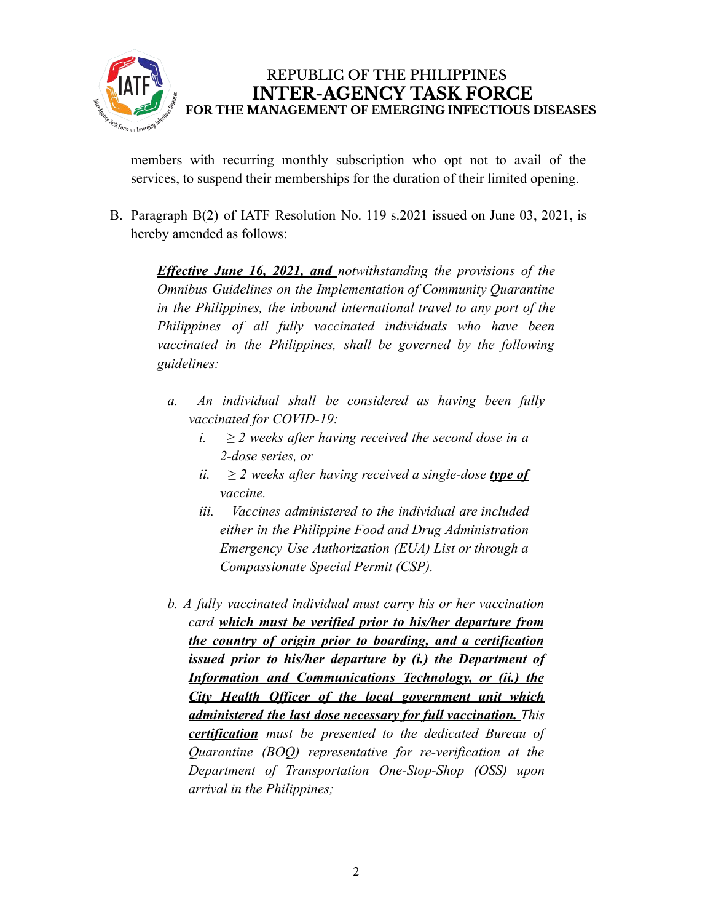

members with recurring monthly subscription who opt not to avail of the services, to suspend their memberships for the duration of their limited opening.

B. Paragraph B(2) of IATF Resolution No. 119 s.2021 issued on June 03, 2021, is hereby amended as follows:

*Effective June 16, 2021, and notwithstanding the provisions of the Omnibus Guidelines on the Implementation of Community Quarantine in the Philippines, the inbound international travel to any port of the Philippines of all fully vaccinated individuals who have been vaccinated in the Philippines, shall be governed by the following guidelines:*

- *a. An individual shall be considered as having been fully vaccinated for COVID-19:*
	- *i.*  $≥$  2 *weeks after having received the second dose in a 2-dose series, or*
	- *ii.*  $≥$  2 *weeks after having received a single-dose type of vaccine.*
	- *iii. Vaccines administered to the individual are included either in the Philippine Food and Drug Administration Emergency Use Authorization (EUA) List or through a Compassionate Special Permit (CSP).*
- *b. A fully vaccinated individual must carry his or her vaccination card which must be verified prior to his/her departure from the country of origin prior to boarding, and a certification issued prior to his/her departure by (i.) the Department of Information and Communications Technology, or (ii.) the City Health Officer of the local government unit which administered the last dose necessary for full vaccination. This certification must be presented to the dedicated Bureau of Quarantine (BOQ) representative for re-verification at the Department of Transportation One-Stop-Shop (OSS) upon arrival in the Philippines;*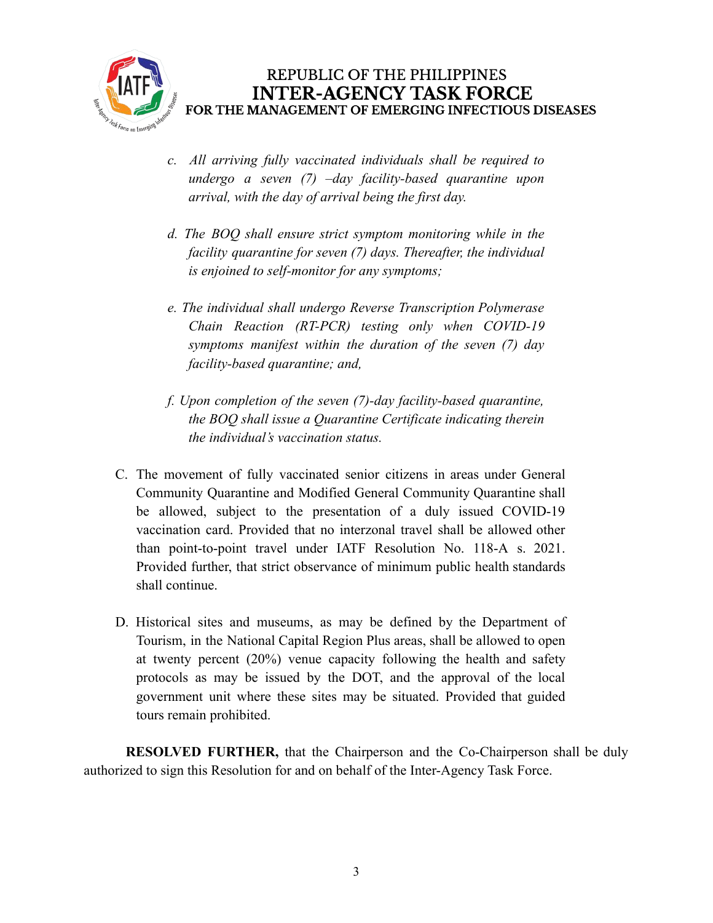

- *c. All arriving fully vaccinated individuals shall be required to undergo a seven (7) –day facility-based quarantine upon arrival, with the day of arrival being the first day.*
- *d. The BOQ shall ensure strict symptom monitoring while in the facility quarantine for seven (7) days. Thereafter, the individual is enjoined to self-monitor for any symptoms;*
- *e. The individual shall undergo Reverse Transcription Polymerase Chain Reaction (RT-PCR) testing only when COVID-19 symptoms manifest within the duration of the seven (7) day facility-based quarantine; and,*
- *f. Upon completion of the seven (7)-day facility-based quarantine, the BOQ shall issue a Quarantine Certificate indicating therein the individual's vaccination status.*
- C. The movement of fully vaccinated senior citizens in areas under General Community Quarantine and Modified General Community Quarantine shall be allowed, subject to the presentation of a duly issued COVID-19 vaccination card. Provided that no interzonal travel shall be allowed other than point-to-point travel under IATF Resolution No. 118-A s. 2021. Provided further, that strict observance of minimum public health standards shall continue.
- D. Historical sites and museums, as may be defined by the Department of Tourism, in the National Capital Region Plus areas, shall be allowed to open at twenty percent (20%) venue capacity following the health and safety protocols as may be issued by the DOT, and the approval of the local government unit where these sites may be situated. Provided that guided tours remain prohibited.

**RESOLVED FURTHER,** that the Chairperson and the Co-Chairperson shall be duly authorized to sign this Resolution for and on behalf of the Inter-Agency Task Force.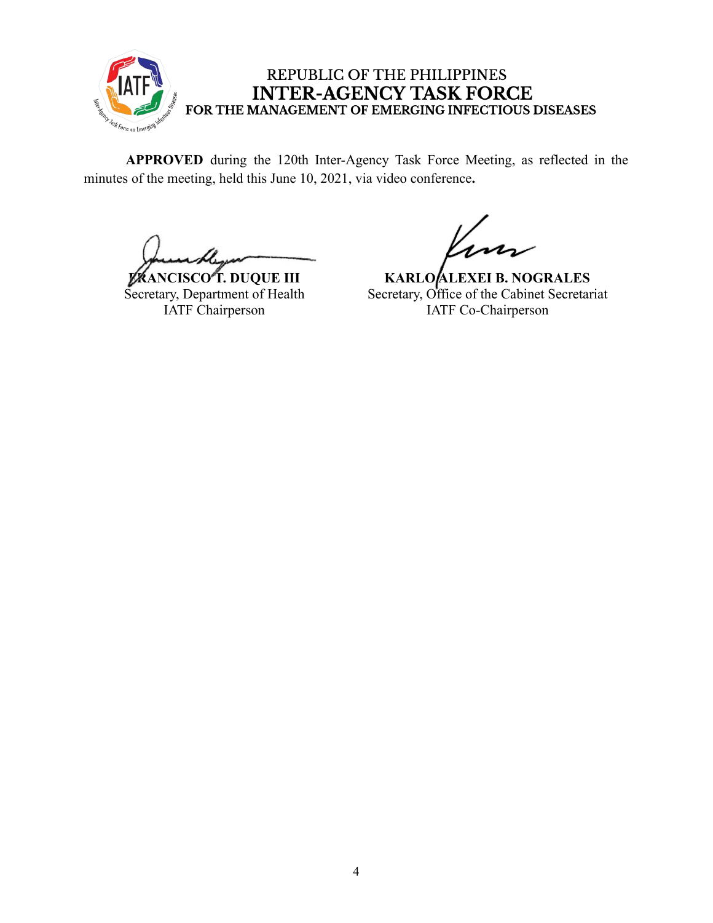

**APPROVED** during the 120th Inter-Agency Task Force Meeting, as reflected in the minutes of the meeting, held this June 10, 2021, via video conference**.**

**FRANCISCO T. DUQUE III** Secretary, Department of Health IATF Chairperson

**KARLO ALEXEI B. NOGRALES** Secretary, Office of the Cabinet Secretariat IATF Co-Chairperson